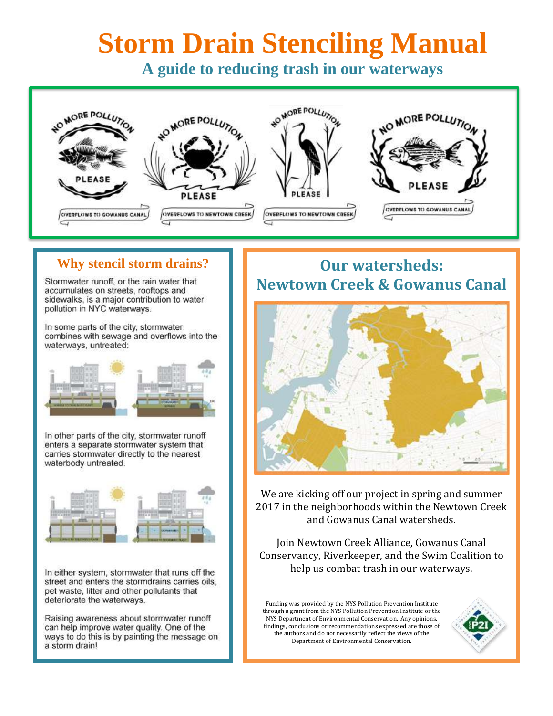# **Storm Drain Stenciling Manual**

**A guide to reducing trash in our waterways**



Stormwater runoff, or the rain water that accumulates on streets, rooftops and sidewalks, is a major contribution to water pollution in NYC waterways.

In some parts of the city, stormwater combines with sewage and overflows into the waterways, untreated:



In other parts of the city, stormwater runoff enters a separate stormwater system that carries stormwater directly to the nearest waterbody untreated.



In either system, stormwater that runs off the street and enters the stormdrains carries oils, pet waste, litter and other pollutants that deteriorate the waterways.

Raising awareness about stormwater runoff can help improve water quality. One of the ways to do this is by painting the message on a storm drain!

# **Why stencil storm drains? I I** Our watersheds: **Newtown Creek & Gowanus Canal**



We are kicking off our project in spring and summer 2017 in the neighborhoods within the Newtown Creek and Gowanus Canal watersheds.

Join Newtown Creek Alliance, Gowanus Canal Conservancy, Riverkeeper, and the Swim Coalition to help us combat trash in our waterways.

Funding was provided by the NYS Pollution Prevention Institute through a grant from the NYS Pollution Prevention Institute or the NYS Department of Environmental Conservation. Any opinions, findings, conclusions or recommendations expressed are those of the authors and do not necessarily reflect the views of the Department of Environmental Conservation.